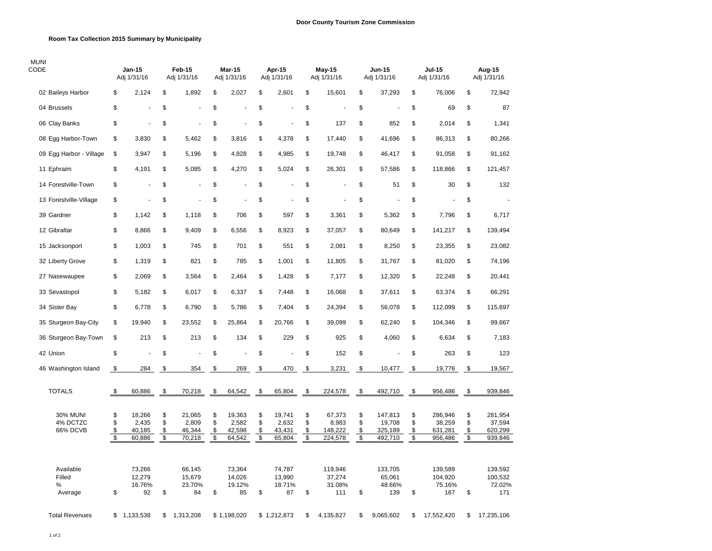## **Room Tax Collection 2015 Summary by Municipality**

| <b>MUNI</b><br>CODE                     | Jan-15<br>Adj 1/31/16 |                                     | Feb-15<br>Adj 1/31/16 |                                     | <b>Mar-15</b><br>Adj 1/31/16 |                                     | Apr-15<br>Adj 1/31/16 |                                     | May-15<br>Adj 1/31/16 |                                       | Jun-15<br>Adj 1/31/16 |                                         | <b>Jul-15</b><br>Adj 1/31/16               |                                         | Aug-15<br>Adj 1/31/16 |                                         |
|-----------------------------------------|-----------------------|-------------------------------------|-----------------------|-------------------------------------|------------------------------|-------------------------------------|-----------------------|-------------------------------------|-----------------------|---------------------------------------|-----------------------|-----------------------------------------|--------------------------------------------|-----------------------------------------|-----------------------|-----------------------------------------|
| 02 Baileys Harbor                       | \$                    | 2,124                               | \$                    | 1,892                               | \$                           | 2,027                               | \$                    | 2,601                               | \$                    | 15,601                                | \$                    | 37,293                                  | \$                                         | 76,006                                  | \$                    | 72,942                                  |
| 04 Brussels                             | \$                    | $\sim$                              | \$                    |                                     | \$                           |                                     | \$                    |                                     | \$                    |                                       | \$                    | ä,                                      | \$                                         | 69                                      | \$                    | 87                                      |
| 06 Clay Banks                           | \$                    | ÷,                                  | \$                    | L,                                  | \$                           |                                     | \$                    | ÷,                                  | \$                    | 137                                   | \$                    | 852                                     | \$                                         | 2,014                                   | \$                    | 1,341                                   |
| 08 Egg Harbor-Town                      | \$                    | 3,830                               | \$                    | 5,462                               | \$                           | 3,816                               | \$                    | 4,378                               | \$                    | 17,440                                | \$                    | 41,696                                  | \$                                         | 86,313                                  | \$                    | 80,266                                  |
| 09 Egg Harbor - Village                 | \$                    | 3,947                               | \$                    | 5,196                               | \$                           | 4,828                               | \$                    | 4,985                               | \$                    | 19,748                                | \$                    | 46,417                                  | \$                                         | 91,058                                  | \$                    | 91,162                                  |
| 11 Ephraim                              | \$                    | 4,191                               | \$                    | 5,085                               | \$                           | 4,270                               | \$                    | 5,024                               | \$                    | 26,301                                | \$                    | 57,586                                  | \$                                         | 118,866                                 | \$                    | 121,457                                 |
| 14 Forestville-Town                     | \$                    | $\overline{\phantom{a}}$            | \$                    | ÷,                                  | \$                           |                                     | \$                    |                                     | \$                    | Ĭ.                                    | \$                    | 51                                      | \$                                         | 30                                      | \$                    | 132                                     |
| 13 Forestville-Village                  | \$                    |                                     | \$                    |                                     | \$                           |                                     | \$                    | $\tilde{\phantom{a}}$               | \$                    |                                       | \$                    |                                         | \$                                         |                                         | \$                    |                                         |
| 39 Gardner                              | \$                    | 1,142                               | \$                    | 1,118                               | \$                           | 706                                 | \$                    | 597                                 | \$                    | 3,361                                 | \$                    | 5,362                                   | \$                                         | 7,796                                   | \$                    | 6,717                                   |
| 12 Gibraltar                            | \$                    | 8,866                               | \$                    | 9,409                               | \$                           | 6,556                               | \$                    | 8,923                               | \$                    | 37,057                                | \$                    | 80,649                                  | \$                                         | 141,217                                 | \$                    | 139,494                                 |
| 15 Jacksonport                          | \$                    | 1,003                               | \$                    | 745                                 | \$                           | 701                                 | \$                    | 551                                 | \$                    | 2,081                                 | \$                    | 8,250                                   | \$                                         | 23,355                                  | \$                    | 23,082                                  |
| 32 Liberty Grove                        | \$                    | 1,319                               | \$                    | 821                                 | \$                           | 785                                 | \$                    | 1,001                               | \$                    | 11,805                                | \$                    | 31,767                                  | \$                                         | 81,020                                  | \$                    | 74,196                                  |
| 27 Nasewaupee                           | \$                    | 2,069                               | \$                    | 3,564                               | \$                           | 2,464                               | \$                    | 1,428                               | \$                    | 7,177                                 | \$                    | 12,320                                  | \$                                         | 22,248                                  | \$                    | 20,441                                  |
| 33 Sevastopol                           | \$                    | 5,182                               | \$                    | 6,017                               | \$                           | 6,337                               | \$                    | 7,448                               | \$                    | 16,068                                | \$                    | 37,611                                  | \$                                         | 63,374                                  | \$                    | 66,291                                  |
| 34 Sister Bay                           | \$                    | 6,778                               | \$                    | 6,790                               | \$                           | 5,786                               | \$                    | 7,404                               | \$                    | 24,394                                | \$                    | 56,078                                  | \$                                         | 112,099                                 | \$                    | 115,697                                 |
| 35 Sturgeon Bay-City                    | \$                    | 19,940                              | \$                    | 23,552                              | \$                           | 25,864                              | \$                    | 20,766                              | \$                    | 39,099                                | \$                    | 62,240                                  | \$                                         | 104,346                                 | \$                    | 99,667                                  |
| 36 Sturgeon Bay-Town                    | \$                    | 213                                 | \$                    | 213                                 | \$                           | 134                                 | \$                    | 229                                 | \$                    | 925                                   | \$                    | 4,060                                   | \$                                         | 6,634                                   | \$                    | 7,183                                   |
| 42 Union                                | \$                    |                                     | \$                    |                                     | \$                           | ÷,                                  | \$                    | $\sim$                              | \$                    | 152                                   | \$                    |                                         | \$                                         | 263                                     | \$                    | 123                                     |
| 46 Washington Island                    | $\frac{3}{2}$         | 284                                 | \$                    | 354                                 | \$                           | 269                                 | \$                    | 470                                 | \$                    | 3,231                                 | \$                    | 10,477                                  | \$                                         | 19,776                                  | \$                    | 19,567                                  |
| <b>TOTALS</b>                           | \$                    | 60,886                              | \$                    | 70,218                              | \$                           | 64,542                              | \$                    | 65,804                              | \$                    | 224,578                               | \$                    | 492,710                                 | \$                                         | 956,486                                 | \$                    | 939,846                                 |
| <b>30% MUNI</b><br>4% DCTZC<br>66% DCVB | \$<br>\$<br>\$<br>\$  | 18,266<br>2,435<br>40,185<br>60,886 | \$<br>\$<br>\$<br>\$  | 21,065<br>2,809<br>46,344<br>70,218 | \$<br>\$<br>\$<br>\$         | 19,363<br>2,582<br>42,598<br>64,542 | \$<br>\$<br>\$<br>\$  | 19,741<br>2,632<br>43,431<br>65,804 | \$<br>\$<br>\$<br>\$  | 67,373<br>8,983<br>148,222<br>224,578 | \$<br>\$<br>\$<br>\$  | 147,813<br>19,708<br>325,189<br>492,710 | \$<br>\$<br>\$<br>$\overline{\mathcal{S}}$ | 286,946<br>38,259<br>631,281<br>956,486 | \$<br>\$<br>\$<br>\$  | 281,954<br>37,594<br>620,299<br>939,846 |
| Available<br>Filled<br>℅<br>Average     | \$                    | 73,266<br>12,279<br>16.76%<br>92    | \$                    | 66,145<br>15,679<br>23.70%<br>84    | \$                           | 73,364<br>14,026<br>19.12%<br>85    | \$                    | 74,787<br>13,990<br>18.71%<br>87    | \$                    | 119,946<br>37,274<br>31.08%<br>111    | \$                    | 133,705<br>65,061<br>48.66%<br>139      | \$                                         | 139,589<br>104,920<br>75.16%<br>167     | \$                    | 139,592<br>100,532<br>72.02%<br>171     |
| <b>Total Revenues</b>                   |                       | \$1,133,538                         | \$                    | 1,313,208                           |                              | \$1,198,020                         |                       | \$1,212,873                         | \$                    | 4,135,827                             | \$                    | 9,065,602                               | \$                                         | 17,552,420                              | \$                    | 17,235,106                              |